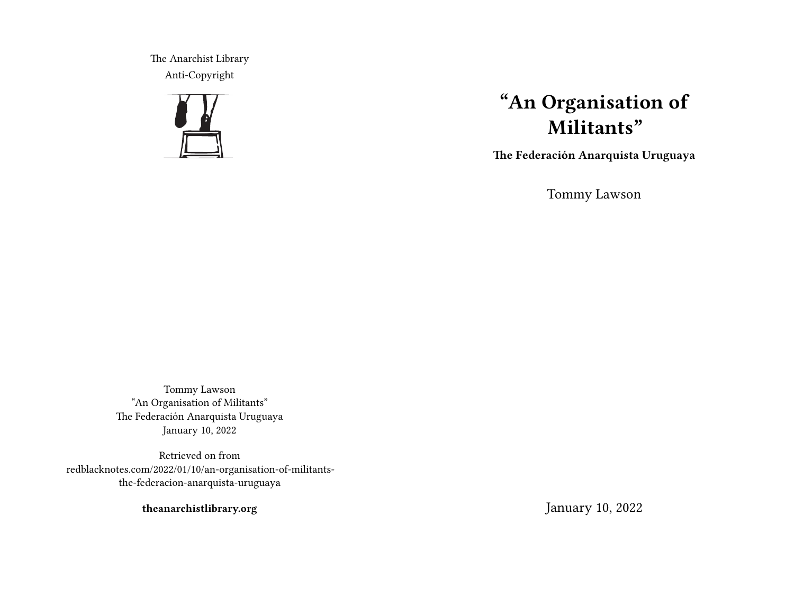The Anarchist Library Anti-Copyright



# **"An Organisation of Militants"**

**The Federación Anarquista Uruguaya**

Tommy Lawson

Tommy Lawson "An Organisation of Militants" The Federación Anarquista Uruguaya January 10, 2022

Retrieved on from redblacknotes.com/2022/01/10/an-organisation-of-militantsthe-federacion-anarquista-uruguaya

**theanarchistlibrary.org**

January 10, 2022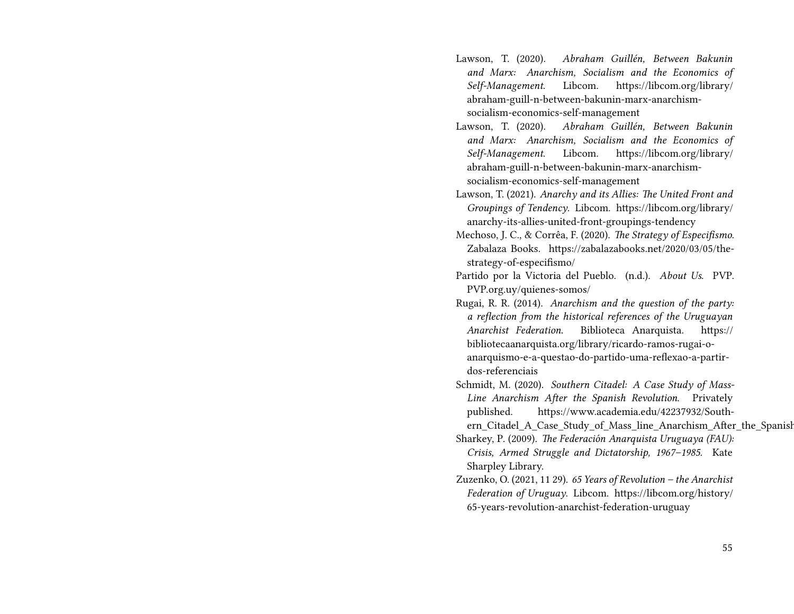- Lawson, T. (2020). *Abraham Guillén, Between Bakunin and Marx: Anarchism, Socialism and the Economics of Self-Management*. Libcom. https://libcom.org/library/ abraham-guill-n-between-bakunin-marx-anarchismsocialism-economics-self-management
- Lawson, T. (2020). *Abraham Guillén, Between Bakunin and Marx: Anarchism, Socialism and the Economics of Self-Management*. Libcom. https://libcom.org/library/ abraham-guill-n-between-bakunin-marx-anarchismsocialism-economics-self-management
- Lawson, T. (2021). *Anarchy and its Allies: The United Front and Groupings of Tendency*. Libcom. https://libcom.org/library/ anarchy-its-allies-united-front-groupings-tendency
- Mechoso, J. C., & Corrêa, F. (2020). *The Strategy of Especifismo*. Zabalaza Books. https://zabalazabooks.net/2020/03/05/thestrategy-of-especifismo/
- Partido por la Victoria del Pueblo. (n.d.). *About Us*. PVP. PVP.org.uy/quienes-somos/
- Rugai, R. R. (2014). *Anarchism and the question of the party: a reflection from the historical references of the Uruguayan Anarchist Federation*. Biblioteca Anarquista. https:// bibliotecaanarquista.org/library/ricardo-ramos-rugai-oanarquismo-e-a-questao-do-partido-uma-reflexao-a-partirdos-referenciais
- Schmidt, M. (2020). *Southern Citadel: A Case Study of Mass-Line Anarchism After the Spanish Revolution*. Privately published. https://www.academia.edu/42237932/South
	- ern Citadel A Case Study of Mass line Anarchism After the Spanish
- Sharkey, P. (2009). *The Federación Anarquista Uruguaya (FAU): Crisis, Armed Struggle and Dictatorship, 1967–1985*. Kate Sharpley Library.
- Zuzenko, O. (2021, 11 29). *65 Years of Revolution the Anarchist Federation of Uruguay*. Libcom. https://libcom.org/history/ 65-years-revolution-anarchist-federation-uruguay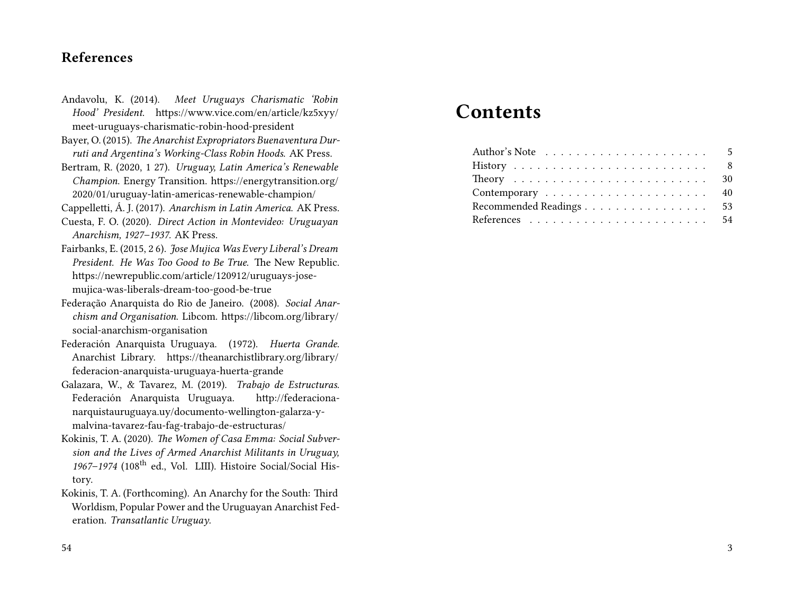## **References**

- Andavolu, K. (2014). *Meet Uruguays Charismatic 'Robin Hood' President*. https://www.vice.com/en/article/kz5xyy/ meet-uruguays-charismatic-robin-hood-president
- Bayer, O. (2015). *The Anarchist Expropriators Buenaventura Durruti and Argentina's Working-Class Robin Hoods*. AK Press.
- Bertram, R. (2020, 1 27). *Uruguay, Latin America's Renewable Champion*. Energy Transition. https://energytransition.org/ 2020/01/uruguay-latin-americas-renewable-champion/
- Cappelletti, Á. J. (2017). *Anarchism in Latin America*. AK Press.
- Cuesta, F. O. (2020). *Direct Action in Montevideo: Uruguayan Anarchism, 1927–1937.* AK Press.
- Fairbanks, E. (2015, 2 6). *Jose Mujica Was Every Liberal's Dream President. He Was Too Good to Be True.* The New Republic. https://newrepublic.com/article/120912/uruguays-josemujica-was-liberals-dream-too-good-be-true
- Federação Anarquista do Rio de Janeiro. (2008). *Social Anarchism and Organisation*. Libcom. https://libcom.org/library/ social-anarchism-organisation
- Federación Anarquista Uruguaya. (1972). *Huerta Grande*. Anarchist Library. https://theanarchistlibrary.org/library/ federacion-anarquista-uruguaya-huerta-grande
- Galazara, W., & Tavarez, M. (2019). *Trabajo de Estructuras*. Federación Anarquista Uruguaya. http://federacionanarquistauruguaya.uy/documento-wellington-galarza-ymalvina-tavarez-fau-fag-trabajo-de-estructuras/
- Kokinis, T. A. (2020). *The Women of Casa Emma: Social Subversion and the Lives of Armed Anarchist Militants in Uruguay,* 1967–1974 (108<sup>th</sup> ed., Vol. LIII). Histoire Social/Social History.
- Kokinis, T. A. (Forthcoming). An Anarchy for the South: Third Worldism, Popular Power and the Uruguayan Anarchist Federation. *Transatlantic Uruguay*.

## **Contents**

| Recommended Readings 53 |
|-------------------------|
| 54                      |
|                         |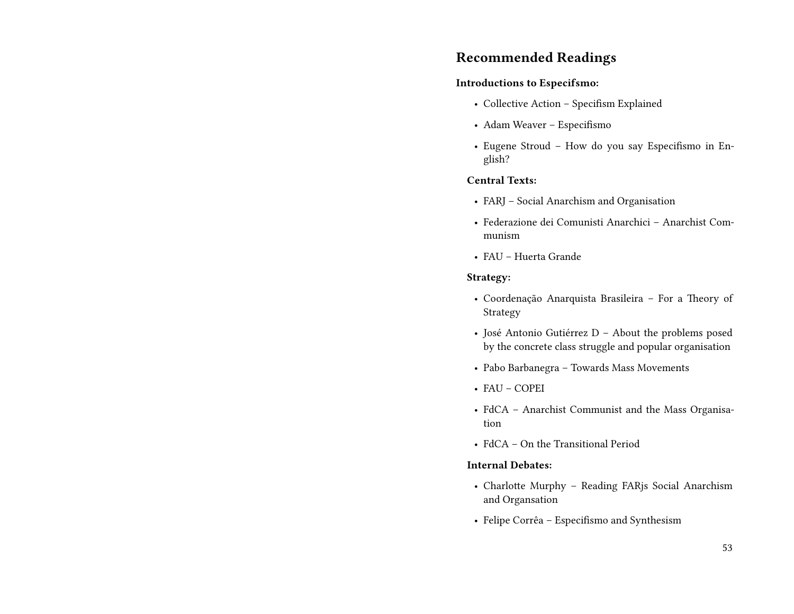## **Recommended Readings**

#### **Introductions to Especifsmo:**

- Collective Action Specifism Explained
- Adam Weaver Especifismo
- Eugene Stroud How do you say Especifismo in English?

#### **Central Texts:**

- FARJ Social Anarchism and Organisation
- Federazione dei Comunisti Anarchici Anarchist Communism
- FAU Huerta Grande

#### **Strategy:**

- Coordenação Anarquista Brasileira For a Theory of Strategy
- José Antonio Gutiérrez D About the problems posed by the concrete class struggle and popular organisation
- Pabo Barbanegra Towards Mass Movements
- FAU COPEI
- FdCA Anarchist Communist and the Mass Organisation
- FdCA On the Transitional Period

#### **Internal Debates:**

- Charlotte Murphy Reading FARjs Social Anarchism and Organsation
- Felipe Corrêa Especifismo and Synthesism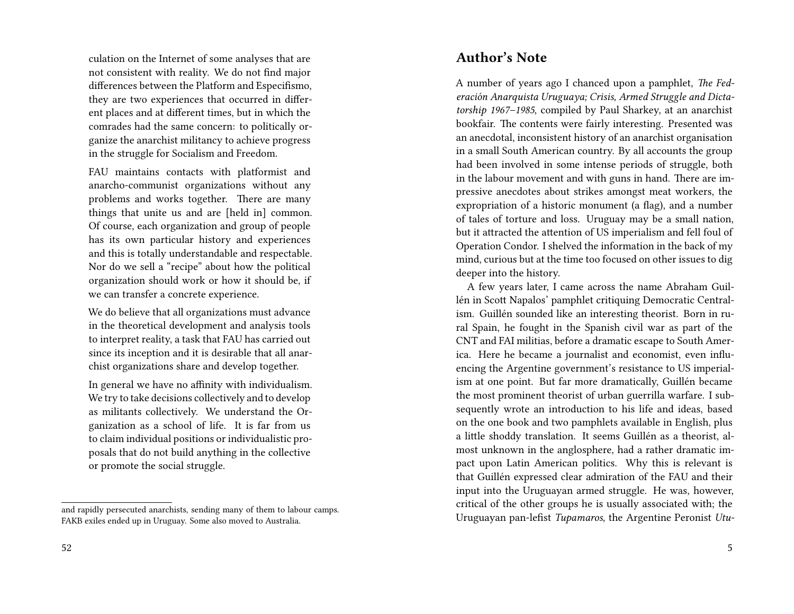culation on the Internet of some analyses that are not consistent with reality. We do not find major differences between the Platform and Especifismo, they are two experiences that occurred in different places and at different times, but in which the comrades had the same concern: to politically organize the anarchist militancy to achieve progress in the struggle for Socialism and Freedom.

FAU maintains contacts with platformist and anarcho-communist organizations without any problems and works together. There are many things that unite us and are [held in] common. Of course, each organization and group of people has its own particular history and experiences and this is totally understandable and respectable. Nor do we sell a "recipe" about how the political organization should work or how it should be, if we can transfer a concrete experience.

We do believe that all organizations must advance in the theoretical development and analysis tools to interpret reality, a task that FAU has carried out since its inception and it is desirable that all anarchist organizations share and develop together.

In general we have no affinity with individualism. We try to take decisions collectively and to develop as militants collectively. We understand the Organization as a school of life. It is far from us to claim individual positions or individualistic proposals that do not build anything in the collective or promote the social struggle.

## **Author's Note**

A number of years ago I chanced upon a pamphlet, *The Federación Anarquista Uruguaya; Crisis, Armed Struggle and Dictatorship 1967–1985*, compiled by Paul Sharkey, at an anarchist bookfair. The contents were fairly interesting. Presented was an anecdotal, inconsistent history of an anarchist organisation in a small South American country. By all accounts the group had been involved in some intense periods of struggle, both in the labour movement and with guns in hand. There are impressive anecdotes about strikes amongst meat workers, the expropriation of a historic monument (a flag), and a number of tales of torture and loss. Uruguay may be a small nation, but it attracted the attention of US imperialism and fell foul of Operation Condor. I shelved the information in the back of my mind, curious but at the time too focused on other issues to dig deeper into the history.

A few years later, I came across the name Abraham Guillén in Scott Napalos' pamphlet critiquing Democratic Centralism. Guillén sounded like an interesting theorist. Born in rural Spain, he fought in the Spanish civil war as part of the CNT and FAI militias, before a dramatic escape to South America. Here he became a journalist and economist, even influencing the Argentine government's resistance to US imperialism at one point. But far more dramatically, Guillén became the most prominent theorist of urban guerrilla warfare. I subsequently wrote an introduction to his life and ideas, based on the one book and two pamphlets available in English, plus a little shoddy translation. It seems Guillén as a theorist, almost unknown in the anglosphere, had a rather dramatic impact upon Latin American politics. Why this is relevant is that Guillén expressed clear admiration of the FAU and their input into the Uruguayan armed struggle. He was, however, critical of the other groups he is usually associated with; the Uruguayan pan-lefist *Tupamaros*, the Argentine Peronist *Utu-*

and rapidly persecuted anarchists, sending many of them to labour camps. FAKB exiles ended up in Uruguay. Some also moved to Australia.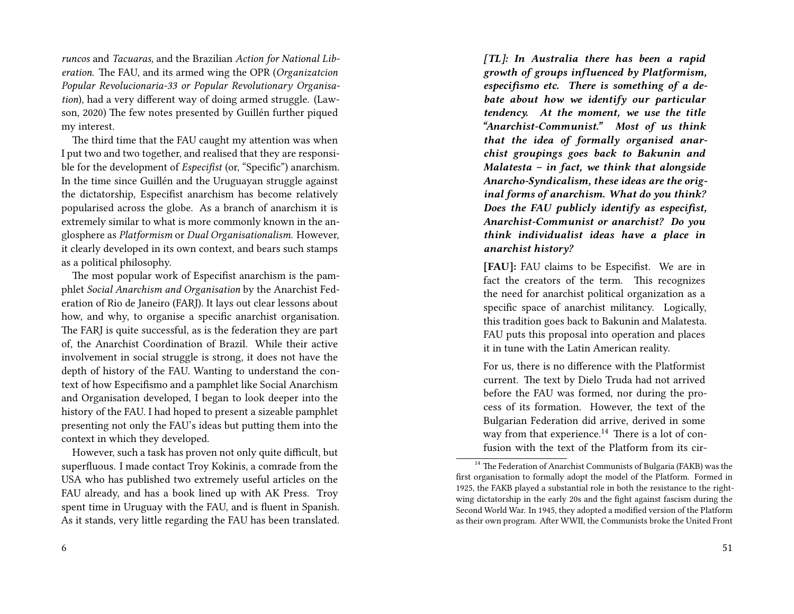*runcos* and *Tacuaras,* and the Brazilian *Action for National Liberation*. The FAU, and its armed wing the OPR (*Organizatcion Popular Revolucionaria-33 or Popular Revolutionary Organisation*), had a very different way of doing armed struggle. (Lawson, 2020) The few notes presented by Guillén further piqued my interest.

The third time that the FAU caught my attention was when I put two and two together, and realised that they are responsible for the development of *Especifist* (or, "Specific") anarchism. In the time since Guillén and the Uruguayan struggle against the dictatorship, Especifist anarchism has become relatively popularised across the globe. As a branch of anarchism it is extremely similar to what is more commonly known in the anglosphere as *Platformism* or *Dual Organisationalism*. However, it clearly developed in its own context, and bears such stamps as a political philosophy.

The most popular work of Especifist anarchism is the pamphlet *Social Anarchism and Organisation* by the Anarchist Federation of Rio de Janeiro (FARJ). It lays out clear lessons about how, and why, to organise a specific anarchist organisation. The FARJ is quite successful, as is the federation they are part of, the Anarchist Coordination of Brazil. While their active involvement in social struggle is strong, it does not have the depth of history of the FAU. Wanting to understand the context of how Especifismo and a pamphlet like Social Anarchism and Organisation developed, I began to look deeper into the history of the FAU. I had hoped to present a sizeable pamphlet presenting not only the FAU's ideas but putting them into the context in which they developed.

However, such a task has proven not only quite difficult, but superfluous. I made contact Troy Kokinis, a comrade from the USA who has published two extremely useful articles on the FAU already, and has a book lined up with AK Press. Troy spent time in Uruguay with the FAU, and is fluent in Spanish. As it stands, very little regarding the FAU has been translated. *[TL]: In Australia there has been a rapid growth of groups influenced by Platformism, especifismo etc. There is something of a debate about how we identify our particular tendency. At the moment, we use the title "Anarchist-Communist." Most of us think that the idea of formally organised anarchist groupings goes back to Bakunin and Malatesta – in fact, we think that alongside Anarcho-Syndicalism, these ideas are the original forms of anarchism. What do you think? Does the FAU publicly identify as especifist, Anarchist-Communist or anarchist? Do you think individualist ideas have a place in anarchist history?*

**[FAU]:** FAU claims to be Especifist. We are in fact the creators of the term. This recognizes the need for anarchist political organization as a specific space of anarchist militancy. Logically, this tradition goes back to Bakunin and Malatesta. FAU puts this proposal into operation and places it in tune with the Latin American reality.

For us, there is no difference with the Platformist current. The text by Dielo Truda had not arrived before the FAU was formed, nor during the process of its formation. However, the text of the Bulgarian Federation did arrive, derived in some way from that experience.<sup>14</sup> There is a lot of confusion with the text of the Platform from its cir-

 $14$  The Federation of Anarchist Communists of Bulgaria (FAKB) was the first organisation to formally adopt the model of the Platform. Formed in 1925, the FAKB played a substantial role in both the resistance to the rightwing dictatorship in the early 20s and the fight against fascism during the Second World War. In 1945, they adopted a modified version of the Platform as their own program. After WWII, the Communists broke the United Front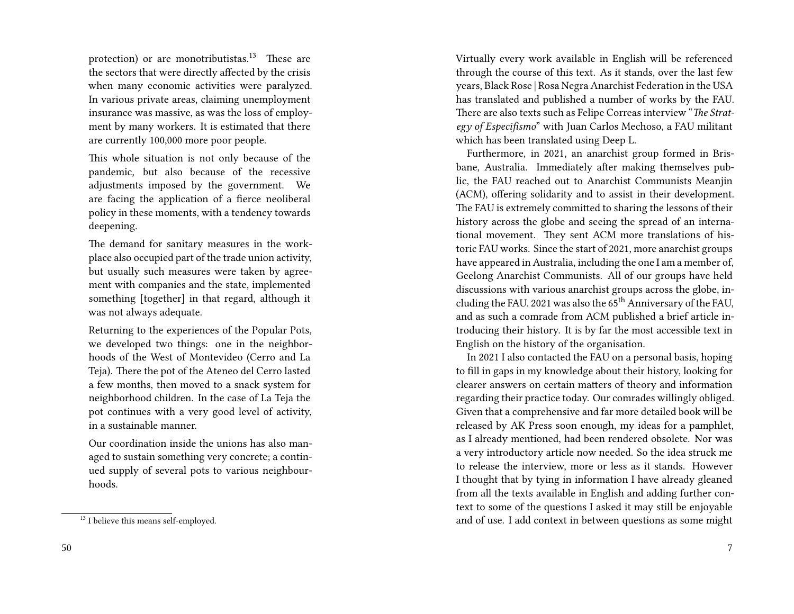protection) or are monotributistas.<sup>13</sup> These are the sectors that were directly affected by the crisis when many economic activities were paralyzed. In various private areas, claiming unemployment insurance was massive, as was the loss of employment by many workers. It is estimated that there are currently 100,000 more poor people.

This whole situation is not only because of the pandemic, but also because of the recessive adjustments imposed by the government. We are facing the application of a fierce neoliberal policy in these moments, with a tendency towards deepening.

The demand for sanitary measures in the workplace also occupied part of the trade union activity, but usually such measures were taken by agreement with companies and the state, implemented something [together] in that regard, although it was not always adequate.

Returning to the experiences of the Popular Pots, we developed two things: one in the neighborhoods of the West of Montevideo (Cerro and La Teja). There the pot of the Ateneo del Cerro lasted a few months, then moved to a snack system for neighborhood children. In the case of La Teja the pot continues with a very good level of activity, in a sustainable manner.

Our coordination inside the unions has also managed to sustain something very concrete; a continued supply of several pots to various neighbourhoods.

Virtually every work available in English will be referenced through the course of this text. As it stands, over the last few years, Black Rose | Rosa Negra Anarchist Federation in the USA has translated and published a number of works by the FAU. There are also texts such as Felipe Correas interview "*The Strategy of Especifismo*" with Juan Carlos Mechoso, a FAU militant which has been translated using Deep L.

Furthermore, in 2021, an anarchist group formed in Brisbane, Australia. Immediately after making themselves public, the FAU reached out to Anarchist Communists Meanjin (ACM), offering solidarity and to assist in their development. The FAU is extremely committed to sharing the lessons of their history across the globe and seeing the spread of an international movement. They sent ACM more translations of historic FAU works. Since the start of 2021, more anarchist groups have appeared in Australia, including the one I am a member of, Geelong Anarchist Communists. All of our groups have held discussions with various anarchist groups across the globe, including the FAU. 2021 was also the 65<sup>th</sup> Anniversary of the FAU, and as such a comrade from ACM published a brief article introducing their history. It is by far the most accessible text in English on the history of the organisation.

In 2021 I also contacted the FAU on a personal basis, hoping to fill in gaps in my knowledge about their history, looking for clearer answers on certain matters of theory and information regarding their practice today. Our comrades willingly obliged. Given that a comprehensive and far more detailed book will be released by AK Press soon enough, my ideas for a pamphlet, as I already mentioned, had been rendered obsolete. Nor was a very introductory article now needed. So the idea struck me to release the interview, more or less as it stands. However I thought that by tying in information I have already gleaned from all the texts available in English and adding further context to some of the questions I asked it may still be enjoyable and of use. I add context in between questions as some might

<sup>&</sup>lt;sup>13</sup> I believe this means self-employed.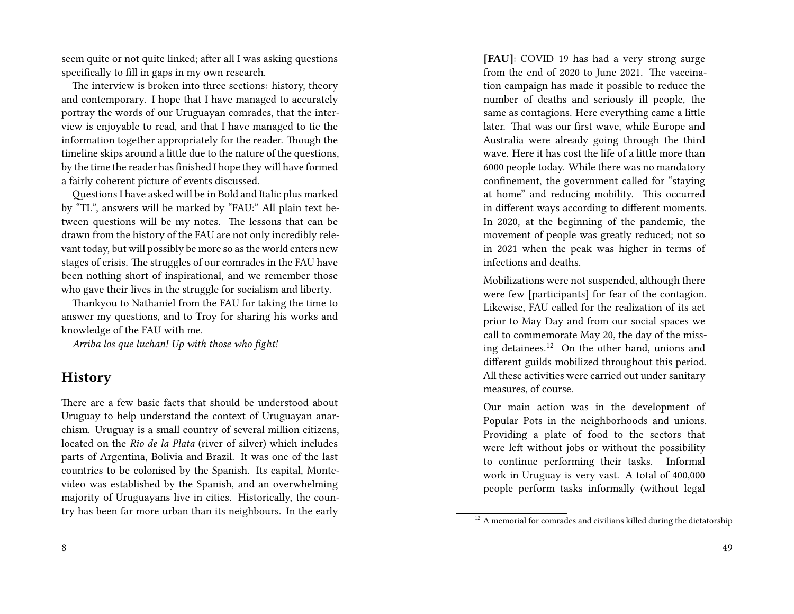seem quite or not quite linked; after all I was asking questions specifically to fill in gaps in my own research.

The interview is broken into three sections: history, theory and contemporary. I hope that I have managed to accurately portray the words of our Uruguayan comrades, that the interview is enjoyable to read, and that I have managed to tie the information together appropriately for the reader. Though the timeline skips around a little due to the nature of the questions, by the time the reader has finished I hope they will have formed a fairly coherent picture of events discussed.

Questions I have asked will be in Bold and Italic plus marked by "TL", answers will be marked by "FAU:" All plain text between questions will be my notes. The lessons that can be drawn from the history of the FAU are not only incredibly relevant today, but will possibly be more so as the world enters new stages of crisis. The struggles of our comrades in the FAU have been nothing short of inspirational, and we remember those who gave their lives in the struggle for socialism and liberty.

Thankyou to Nathaniel from the FAU for taking the time to answer my questions, and to Troy for sharing his works and knowledge of the FAU with me.

*Arriba los que luchan! Up with those who fight!*

## **History**

There are a few basic facts that should be understood about Uruguay to help understand the context of Uruguayan anarchism. Uruguay is a small country of several million citizens, located on the *Rio de la Plata* (river of silver) which includes parts of Argentina, Bolivia and Brazil. It was one of the last countries to be colonised by the Spanish. Its capital, Montevideo was established by the Spanish, and an overwhelming majority of Uruguayans live in cities. Historically, the country has been far more urban than its neighbours. In the early

8

**[FAU]**: COVID 19 has had a very strong surge from the end of 2020 to June 2021. The vaccination campaign has made it possible to reduce the number of deaths and seriously ill people, the same as contagions. Here everything came a little later. That was our first wave, while Europe and Australia were already going through the third wave. Here it has cost the life of a little more than 6000 people today. While there was no mandatory confinement, the government called for "staying at home" and reducing mobility. This occurred in different ways according to different moments. In 2020, at the beginning of the pandemic, the movement of people was greatly reduced; not so in 2021 when the peak was higher in terms of infections and deaths.

Mobilizations were not suspended, although there were few [participants] for fear of the contagion. Likewise, FAU called for the realization of its act prior to May Day and from our social spaces we call to commemorate May 20, the day of the missing detainees.<sup>12</sup> On the other hand, unions and different guilds mobilized throughout this period. All these activities were carried out under sanitary measures, of course.

Our main action was in the development of Popular Pots in the neighborhoods and unions. Providing a plate of food to the sectors that were left without jobs or without the possibility to continue performing their tasks. Informal work in Uruguay is very vast. A total of 400,000 people perform tasks informally (without legal

 $^{12}$  A memorial for comrades and civilians killed during the dictatorship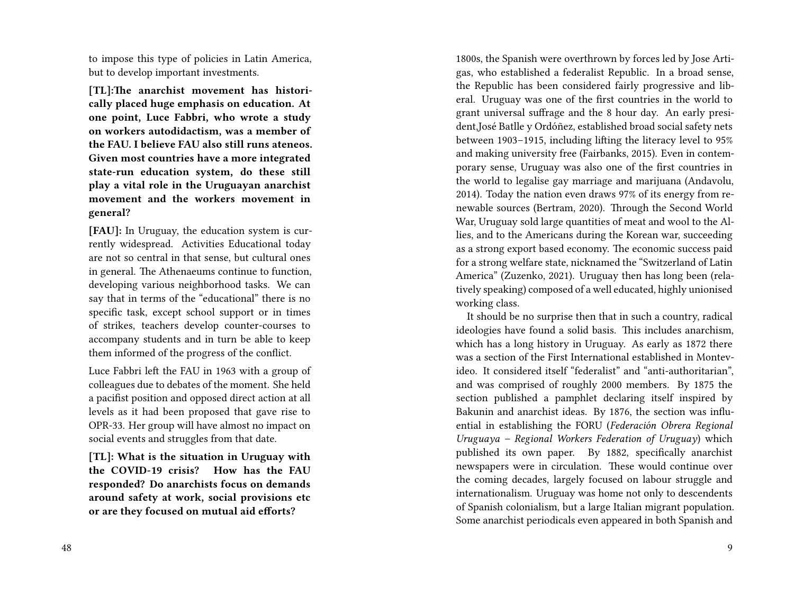to impose this type of policies in Latin America, but to develop important investments.

**[TL]:The anarchist movement has historically placed huge emphasis on education. At one point, Luce Fabbri, who wrote a study on workers autodidactism, was a member of the FAU. I believe FAU also still runs ateneos. Given most countries have a more integrated state-run education system, do these still play a vital role in the Uruguayan anarchist movement and the workers movement in general?**

**[FAU]:** In Uruguay, the education system is currently widespread. Activities Educational today are not so central in that sense, but cultural ones in general. The Athenaeums continue to function, developing various neighborhood tasks. We can say that in terms of the "educational" there is no specific task, except school support or in times of strikes, teachers develop counter-courses to accompany students and in turn be able to keep them informed of the progress of the conflict.

Luce Fabbri left the FAU in 1963 with a group of colleagues due to debates of the moment. She held a pacifist position and opposed direct action at all levels as it had been proposed that gave rise to OPR-33. Her group will have almost no impact on social events and struggles from that date.

**[TL]: What is the situation in Uruguay with the COVID-19 crisis? How has the FAU responded? Do anarchists focus on demands around safety at work, social provisions etc or are they focused on mutual aid efforts?**

1800s, the Spanish were overthrown by forces led by Jose Artigas, who established a federalist Republic. In a broad sense, the Republic has been considered fairly progressive and liberal. Uruguay was one of the first countries in the world to grant universal suffrage and the 8 hour day. An early president,José Batlle y Ordóñez, established broad social safety nets between 1903–1915, including lifting the literacy level to 95% and making university free (Fairbanks, 2015). Even in contemporary sense, Uruguay was also one of the first countries in the world to legalise gay marriage and marijuana (Andavolu, 2014). Today the nation even draws 97% of its energy from renewable sources (Bertram, 2020). Through the Second World War, Uruguay sold large quantities of meat and wool to the Allies, and to the Americans during the Korean war, succeeding as a strong export based economy. The economic success paid for a strong welfare state, nicknamed the "Switzerland of Latin America" (Zuzenko, 2021). Uruguay then has long been (relatively speaking) composed of a well educated, highly unionised working class.

It should be no surprise then that in such a country, radical ideologies have found a solid basis. This includes anarchism, which has a long history in Uruguay. As early as 1872 there was a section of the First International established in Montevideo. It considered itself "federalist" and "anti-authoritarian", and was comprised of roughly 2000 members. By 1875 the section published a pamphlet declaring itself inspired by Bakunin and anarchist ideas. By 1876, the section was influential in establishing the FORU (*Federación Obrera Regional Uruguaya – Regional Workers Federation of Uruguay*) which published its own paper. By 1882, specifically anarchist newspapers were in circulation. These would continue over the coming decades, largely focused on labour struggle and internationalism. Uruguay was home not only to descendents of Spanish colonialism, but a large Italian migrant population. Some anarchist periodicals even appeared in both Spanish and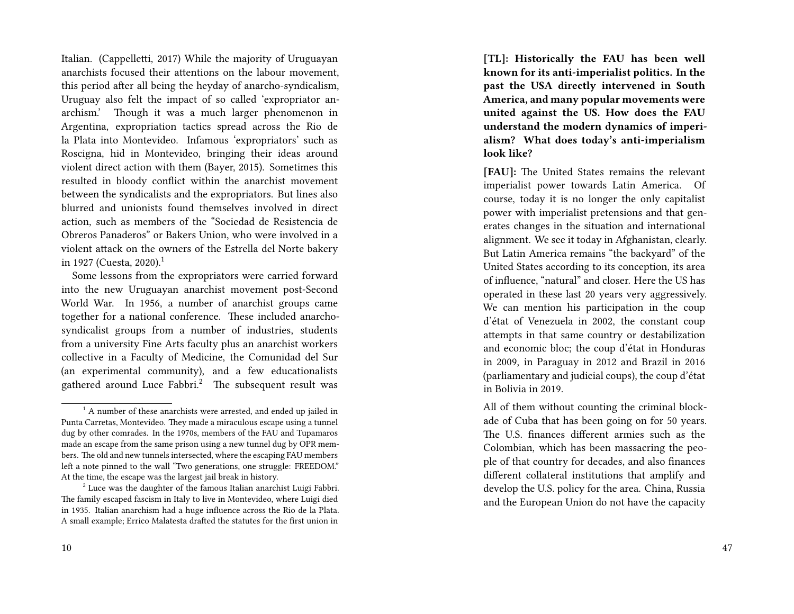Italian. (Cappelletti, 2017) While the majority of Uruguayan anarchists focused their attentions on the labour movement, this period after all being the heyday of anarcho-syndicalism, Uruguay also felt the impact of so called 'expropriator anarchism.' Though it was a much larger phenomenon in Argentina, expropriation tactics spread across the Rio de la Plata into Montevideo. Infamous 'expropriators' such as Roscigna, hid in Montevideo, bringing their ideas around violent direct action with them (Bayer, 2015). Sometimes this resulted in bloody conflict within the anarchist movement between the syndicalists and the expropriators. But lines also blurred and unionists found themselves involved in direct action, such as members of the "Sociedad de Resistencia de Obreros Panaderos" or Bakers Union, who were involved in a violent attack on the owners of the Estrella del Norte bakery in 1927 (Cuesta, 2020).<sup>1</sup>

Some lessons from the expropriators were carried forward into the new Uruguayan anarchist movement post-Second World War. In 1956, a number of anarchist groups came together for a national conference. These included anarchosyndicalist groups from a number of industries, students from a university Fine Arts faculty plus an anarchist workers collective in a Faculty of Medicine, the Comunidad del Sur (an experimental community), and a few educationalists gathered around Luce Fabbri.<sup>2</sup> The subsequent result was

**[TL]: Historically the FAU has been well known for its anti-imperialist politics. In the past the USA directly intervened in South America, and many popular movements were united against the US. How does the FAU understand the modern dynamics of imperialism? What does today's anti-imperialism look like?**

**[FAU]:** The United States remains the relevant imperialist power towards Latin America. Of course, today it is no longer the only capitalist power with imperialist pretensions and that generates changes in the situation and international alignment. We see it today in Afghanistan, clearly. But Latin America remains "the backyard" of the United States according to its conception, its area of influence, "natural" and closer. Here the US has operated in these last 20 years very aggressively. We can mention his participation in the coup d'état of Venezuela in 2002, the constant coup attempts in that same country or destabilization and economic bloc; the coup d'état in Honduras in 2009, in Paraguay in 2012 and Brazil in 2016 (parliamentary and judicial coups), the coup d'état in Bolivia in 2019.

All of them without counting the criminal blockade of Cuba that has been going on for 50 years. The U.S. finances different armies such as the Colombian, which has been massacring the people of that country for decades, and also finances different collateral institutions that amplify and develop the U.S. policy for the area. China, Russia and the European Union do not have the capacity

 $<sup>1</sup>$  A number of these anarchists were arrested, and ended up jailed in</sup> Punta Carretas, Montevideo. They made a miraculous escape using a tunnel dug by other comrades. In the 1970s, members of the FAU and Tupamaros made an escape from the same prison using a new tunnel dug by OPR members. The old and new tunnels intersected, where the escaping FAU members left a note pinned to the wall "Two generations, one struggle: FREEDOM." At the time, the escape was the largest jail break in history.

 $2$  Luce was the daughter of the famous Italian anarchist Luigi Fabbri. The family escaped fascism in Italy to live in Montevideo, where Luigi died in 1935. Italian anarchism had a huge influence across the Rio de la Plata. A small example; Errico Malatesta drafted the statutes for the first union in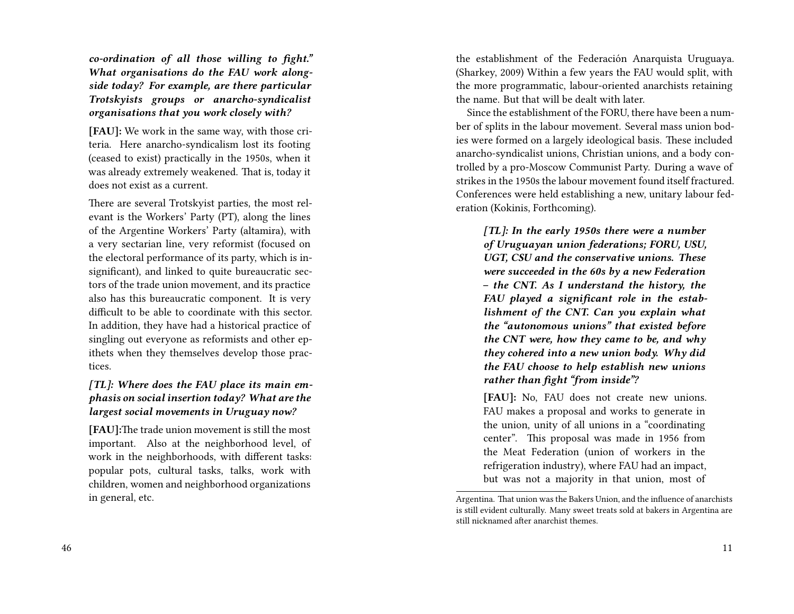*co-ordination of all those willing to fight." What organisations do the FAU work alongside today? For example, are there particular Trotskyists groups or anarcho-syndicalist organisations that you work closely with?*

**[FAU]:** We work in the same way, with those criteria. Here anarcho-syndicalism lost its footing (ceased to exist) practically in the 1950s, when it was already extremely weakened. That is, today it does not exist as a current.

There are several Trotskyist parties, the most relevant is the Workers' Party (PT), along the lines of the Argentine Workers' Party (altamira), with a very sectarian line, very reformist (focused on the electoral performance of its party, which is insignificant), and linked to quite bureaucratic sectors of the trade union movement, and its practice also has this bureaucratic component. It is very difficult to be able to coordinate with this sector. In addition, they have had a historical practice of singling out everyone as reformists and other epithets when they themselves develop those practices.

#### *[TL]: Where does the FAU place its main emphasis on social insertion today? What are the largest social movements in Uruguay now?*

**[FAU]:**The trade union movement is still the most important. Also at the neighborhood level, of work in the neighborhoods, with different tasks: popular pots, cultural tasks, talks, work with children, women and neighborhood organizations in general, etc.

the establishment of the Federación Anarquista Uruguaya. (Sharkey, 2009) Within a few years the FAU would split, with the more programmatic, labour-oriented anarchists retaining the name. But that will be dealt with later.

Since the establishment of the FORU, there have been a number of splits in the labour movement. Several mass union bodies were formed on a largely ideological basis. These included anarcho-syndicalist unions, Christian unions, and a body controlled by a pro-Moscow Communist Party. During a wave of strikes in the 1950s the labour movement found itself fractured. Conferences were held establishing a new, unitary labour federation (Kokinis, Forthcoming).

*[TL]: In the early 1950s there were a number of Uruguayan union federations; FORU, USU, UGT, CSU and the conservative unions. These were succeeded in the 60s by a new Federation – the CNT. As I understand the history, the FAU played a significant role in th***e** *establishment of the CNT. Can you explain what the "autonomous unions" that existed before the CNT were, how they came to be, and why they cohered into a new union body. Why did the FAU choose to help establish new unions rather than fight "from inside"?*

**[FAU]:** No, FAU does not create new unions. FAU makes a proposal and works to generate in the union, unity of all unions in a "coordinating center". This proposal was made in 1956 from the Meat Federation (union of workers in the refrigeration industry), where FAU had an impact, but was not a majority in that union, most of

Argentina. That union was the Bakers Union, and the influence of anarchists is still evident culturally. Many sweet treats sold at bakers in Argentina are still nicknamed after anarchist themes.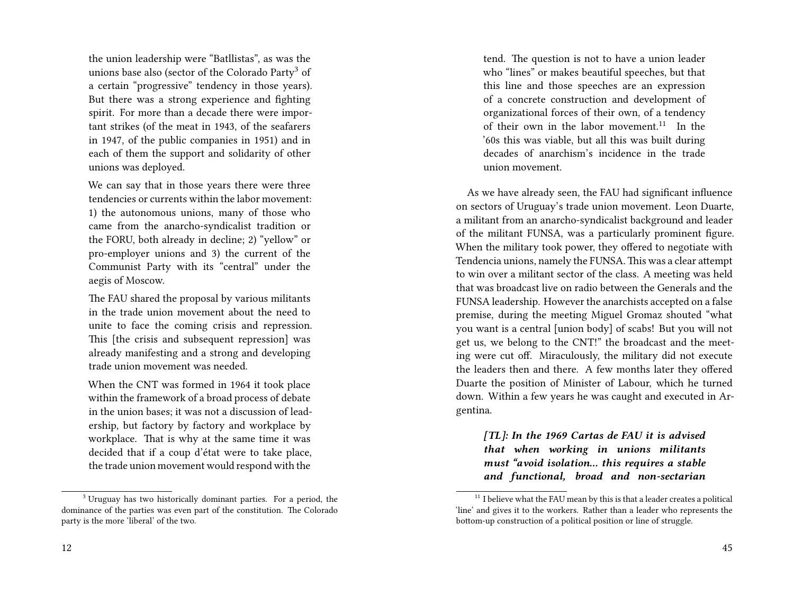the union leadership were "Batllistas", as was the unions base also (sector of the Colorado Party<sup>3</sup> of a certain "progressive" tendency in those years). But there was a strong experience and fighting spirit. For more than a decade there were important strikes (of the meat in 1943, of the seafarers in 1947, of the public companies in 1951) and in each of them the support and solidarity of other unions was deployed.

We can say that in those years there were three tendencies or currents within the labor movement: 1) the autonomous unions, many of those who came from the anarcho-syndicalist tradition or the FORU, both already in decline; 2) "yellow" or pro-employer unions and 3) the current of the Communist Party with its "central" under the aegis of Moscow.

The FAU shared the proposal by various militants in the trade union movement about the need to unite to face the coming crisis and repression. This [the crisis and subsequent repression] was already manifesting and a strong and developing trade union movement was needed.

When the CNT was formed in 1964 it took place within the framework of a broad process of debate in the union bases; it was not a discussion of leadership, but factory by factory and workplace by workplace. That is why at the same time it was decided that if a coup d'état were to take place, the trade union movement would respond with the

tend. The question is not to have a union leader who "lines" or makes beautiful speeches, but that this line and those speeches are an expression of a concrete construction and development of organizational forces of their own, of a tendency of their own in the labor movement.<sup>11</sup> In the '60s this was viable, but all this was built during decades of anarchism's incidence in the trade union movement.

As we have already seen, the FAU had significant influence on sectors of Uruguay's trade union movement. Leon Duarte, a militant from an anarcho-syndicalist background and leader of the militant FUNSA, was a particularly prominent figure. When the military took power, they offered to negotiate with Tendencia unions, namely the FUNSA. This was a clear attempt to win over a militant sector of the class. A meeting was held that was broadcast live on radio between the Generals and the FUNSA leadership. However the anarchists accepted on a false premise, during the meeting Miguel Gromaz shouted "what you want is a central [union body] of scabs! But you will not get us, we belong to the CNT!" the broadcast and the meeting were cut off. Miraculously, the military did not execute the leaders then and there. A few months later they offered Duarte the position of Minister of Labour, which he turned down. Within a few years he was caught and executed in Argentina.

*[TL]: In the 1969 Cartas de FAU it is advised that when working in unions militants must "avoid isolation… this requires a stable and functional, broad and non-sectarian*

<sup>3</sup> Uruguay has two historically dominant parties. For a period, the dominance of the parties was even part of the constitution. The Colorado party is the more 'liberal' of the two.

 $11$  I believe what the FAU mean by this is that a leader creates a political 'line' and gives it to the workers. Rather than a leader who represents the bottom-up construction of a political position or line of struggle.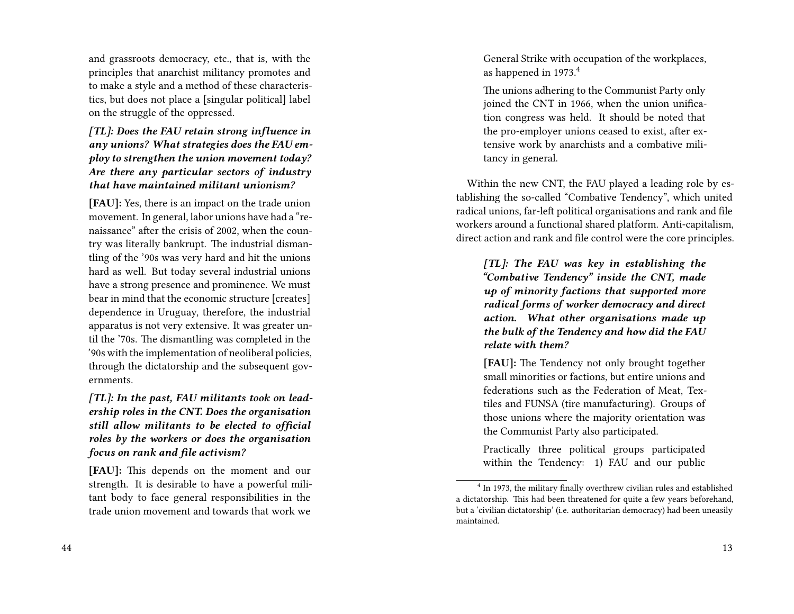and grassroots democracy, etc., that is, with the principles that anarchist militancy promotes and to make a style and a method of these characteristics, but does not place a [singular political] label on the struggle of the oppressed.

*[TL]: Does the FAU retain strong influence in any unions? What strategies does the FAU employ to strengthen the union movement today? Are there any particular sectors of industry that have maintained militant unionism?*

**[FAU]:** Yes, there is an impact on the trade union movement. In general, labor unions have had a "renaissance" after the crisis of 2002, when the country was literally bankrupt. The industrial dismantling of the '90s was very hard and hit the unions hard as well. But today several industrial unions have a strong presence and prominence. We must bear in mind that the economic structure [creates] dependence in Uruguay, therefore, the industrial apparatus is not very extensive. It was greater until the '70s. The dismantling was completed in the '90s with the implementation of neoliberal policies, through the dictatorship and the subsequent governments.

*[TL]: In the past, FAU militants took on leadership roles in the CNT. Does the organisation still allow militants to be elected to official roles by the workers or does the organisation focus on rank and file activism?*

**[FAU]:** This depends on the moment and our strength. It is desirable to have a powerful militant body to face general responsibilities in the trade union movement and towards that work we

General Strike with occupation of the workplaces, as happened in 1973.<sup>4</sup>

The unions adhering to the Communist Party only joined the CNT in 1966, when the union unification congress was held. It should be noted that the pro-employer unions ceased to exist, after extensive work by anarchists and a combative militancy in general.

Within the new CNT, the FAU played a leading role by establishing the so-called "Combative Tendency", which united radical unions, far-left political organisations and rank and file workers around a functional shared platform. Anti-capitalism, direct action and rank and file control were the core principles.

*[TL]: The FAU was key in establishing the "Combative Tendency" inside the CNT, made up of minority factions that supported more radical forms of worker democracy and direct action. What other organisations made up the bulk of the Tendency and how did the FAU relate with them?*

**[FAU]:** The Tendency not only brought together small minorities or factions, but entire unions and federations such as the Federation of Meat, Textiles and FUNSA (tire manufacturing). Groups of those unions where the majority orientation was the Communist Party also participated.

Practically three political groups participated within the Tendency: 1) FAU and our public

<sup>&</sup>lt;sup>4</sup> In 1973, the military finally overthrew civilian rules and established a dictatorship. This had been threatened for quite a few years beforehand, but a 'civilian dictatorship' (i.e. authoritarian democracy) had been uneasily maintained.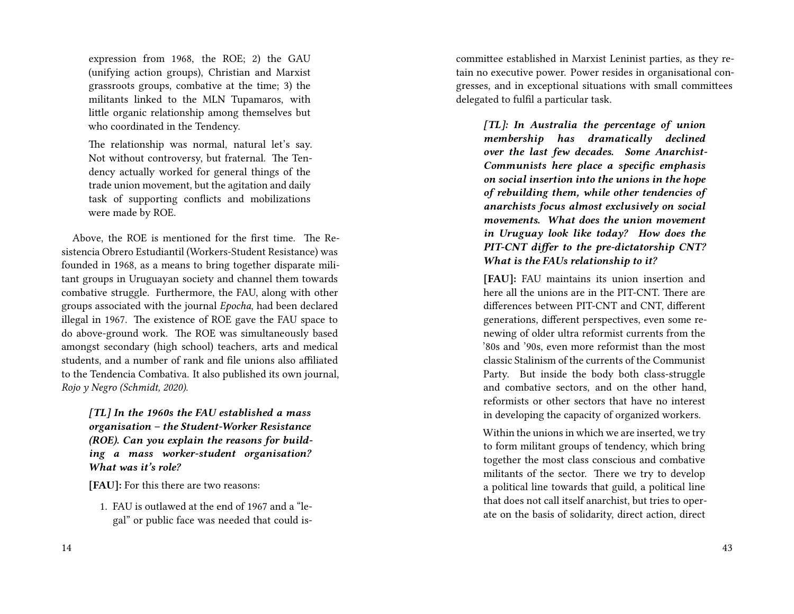expression from 1968, the ROE; 2) the GAU (unifying action groups), Christian and Marxist grassroots groups, combative at the time; 3) the militants linked to the MLN Tupamaros, with little organic relationship among themselves but who coordinated in the Tendency.

The relationship was normal, natural let's say. Not without controversy, but fraternal. The Tendency actually worked for general things of the trade union movement, but the agitation and daily task of supporting conflicts and mobilizations were made by ROE.

Above, the ROE is mentioned for the first time. The Resistencia Obrero Estudiantil (Workers-Student Resistance) was founded in 1968, as a means to bring together disparate militant groups in Uruguayan society and channel them towards combative struggle. Furthermore, the FAU, along with other groups associated with the journal *Epocha*, had been declared illegal in 1967. The existence of ROE gave the FAU space to do above-ground work. The ROE was simultaneously based amongst secondary (high school) teachers, arts and medical students, and a number of rank and file unions also affiliated to the Tendencia Combativa. It also published its own journal, *Rojo y Negro (Schmidt, 2020)*.

*[TL] In the 1960s the FAU established a mass organisation – the Student-Worker Resistance (ROE). Can you explain the reasons for building a mass worker-student organisation? What was it's role?*

**[FAU]:** For this there are two reasons:

1. FAU is outlawed at the end of 1967 and a "legal" or public face was needed that could iscommittee established in Marxist Leninist parties, as they retain no executive power. Power resides in organisational congresses, and in exceptional situations with small committees delegated to fulfil a particular task.

*[TL]: In Australia the percentage of union membership has dramatically declined over the last few decades. Some Anarchist-Communists here place a specific emphasis on social insertion into the unions in the hope of rebuilding them, while other tendencies of anarchists focus almost exclusively on social movements. What does the union movement in Uruguay look like today? How does the PIT-CNT differ to the pre-dictatorship CNT? What is the FAUs relationship to it?*

**[FAU]:** FAU maintains its union insertion and here all the unions are in the PIT-CNT. There are differences between PIT-CNT and CNT, different generations, different perspectives, even some renewing of older ultra reformist currents from the '80s and '90s, even more reformist than the most classic Stalinism of the currents of the Communist Party. But inside the body both class-struggle and combative sectors, and on the other hand, reformists or other sectors that have no interest in developing the capacity of organized workers.

Within the unions in which we are inserted, we try to form militant groups of tendency, which bring together the most class conscious and combative militants of the sector. There we try to develop a political line towards that guild, a political line that does not call itself anarchist, but tries to operate on the basis of solidarity, direct action, direct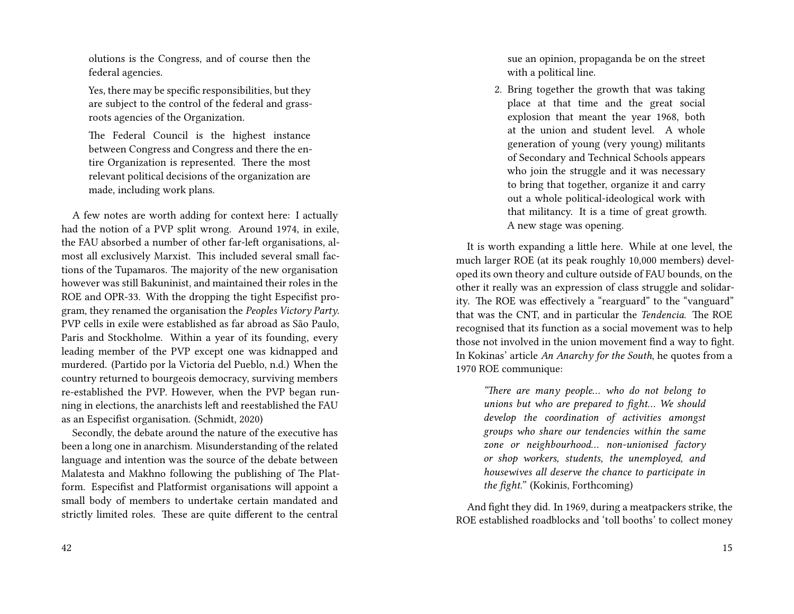olutions is the Congress, and of course then the federal agencies.

Yes, there may be specific responsibilities, but they are subject to the control of the federal and grassroots agencies of the Organization.

The Federal Council is the highest instance between Congress and Congress and there the entire Organization is represented. There the most relevant political decisions of the organization are made, including work plans.

A few notes are worth adding for context here: I actually had the notion of a PVP split wrong. Around 1974, in exile, the FAU absorbed a number of other far-left organisations, almost all exclusively Marxist. This included several small factions of the Tupamaros. The majority of the new organisation however was still Bakuninist, and maintained their roles in the ROE and OPR-33. With the dropping the tight Especifist program, they renamed the organisation the *Peoples Victory Party*. PVP cells in exile were established as far abroad as São Paulo, Paris and Stockholme. Within a year of its founding, every leading member of the PVP except one was kidnapped and murdered. (Partido por la Victoria del Pueblo, n.d.) When the country returned to bourgeois democracy, surviving members re-established the PVP. However, when the PVP began running in elections, the anarchists left and reestablished the FAU as an Especifist organisation. (Schmidt, 2020)

Secondly, the debate around the nature of the executive has been a long one in anarchism. Misunderstanding of the related language and intention was the source of the debate between Malatesta and Makhno following the publishing of The Platform. Especifist and Platformist organisations will appoint a small body of members to undertake certain mandated and strictly limited roles. These are quite different to the central

42

sue an opinion, propaganda be on the street with a political line.

2. Bring together the growth that was taking place at that time and the great social explosion that meant the year 1968, both at the union and student level. A whole generation of young (very young) militants of Secondary and Technical Schools appears who join the struggle and it was necessary to bring that together, organize it and carry out a whole political-ideological work with that militancy. It is a time of great growth. A new stage was opening.

It is worth expanding a little here. While at one level, the much larger ROE (at its peak roughly 10,000 members) developed its own theory and culture outside of FAU bounds, on the other it really was an expression of class struggle and solidarity. The ROE was effectively a "rearguard" to the "vanguard" that was the CNT, and in particular the *Tendencia*. The ROE recognised that its function as a social movement was to help those not involved in the union movement find a way to fight. In Kokinas' article *An Anarchy for the South*, he quotes from a 1970 ROE communique:

*"There are many people… who do not belong to unions but who are prepared to fight… We should develop the coordination of activities amongst groups who share our tendencies within the same zone or neighbourhood… non-unionised factory or shop workers, students, the unemployed, and housewives all deserve the chance to participate in the fight."* (Kokinis, Forthcoming)

And fight they did. In 1969, during a meatpackers strike, the ROE established roadblocks and 'toll booths' to collect money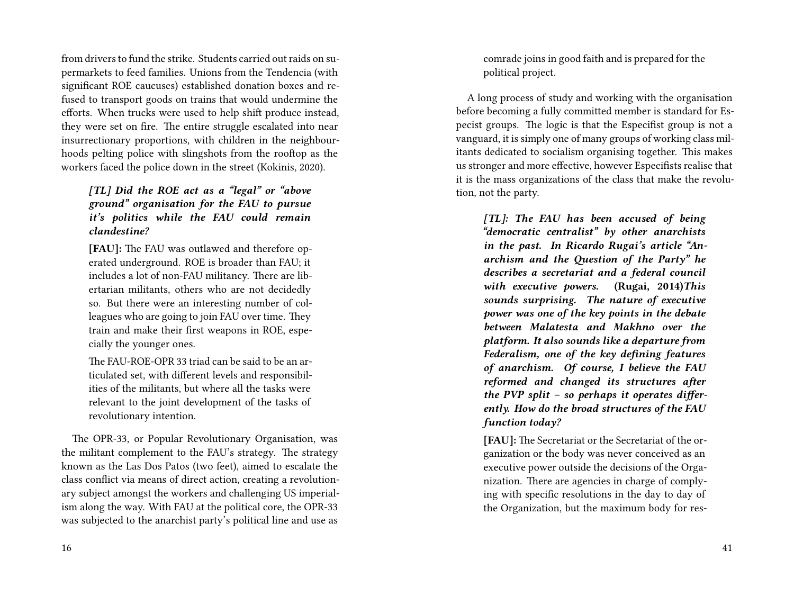from drivers to fund the strike. Students carried out raids on supermarkets to feed families. Unions from the Tendencia (with significant ROE caucuses) established donation boxes and refused to transport goods on trains that would undermine the efforts. When trucks were used to help shift produce instead, they were set on fire. The entire struggle escalated into near insurrectionary proportions, with children in the neighbourhoods pelting police with slingshots from the rooftop as the workers faced the police down in the street (Kokinis, 2020).

*[TL] Did the ROE act as a "legal" or "above ground" organisation for the FAU to pursue it's politics while the FAU could remain clandestine?*

**[FAU]:** The FAU was outlawed and therefore operated underground. ROE is broader than FAU; it includes a lot of non-FAU militancy. There are libertarian militants, others who are not decidedly so. But there were an interesting number of colleagues who are going to join FAU over time. They train and make their first weapons in ROE, especially the younger ones.

The FAU-ROE-OPR 33 triad can be said to be an articulated set, with different levels and responsibilities of the militants, but where all the tasks were relevant to the joint development of the tasks of revolutionary intention.

The OPR-33, or Popular Revolutionary Organisation, was the militant complement to the FAU's strategy. The strategy known as the Las Dos Patos (two feet), aimed to escalate the class conflict via means of direct action, creating a revolutionary subject amongst the workers and challenging US imperialism along the way. With FAU at the political core, the OPR-33 was subjected to the anarchist party's political line and use as

comrade joins in good faith and is prepared for the political project.

A long process of study and working with the organisation before becoming a fully committed member is standard for Especist groups. The logic is that the Especifist group is not a vanguard, it is simply one of many groups of working class militants dedicated to socialism organising together. This makes us stronger and more effective, however Especifists realise that it is the mass organizations of the class that make the revolution, not the party.

*[TL]: The FAU has been accused of being "democratic centralist" by other anarchists in the past. In Ricardo Rugai's article "Anarchism and the Question of the Party" he describes a secretariat and a federal council with executive powers.* **(Rugai, 2014)***This sounds surprising. The nature of executive power was one of the key points in the debate between Malatesta and Makhno over the platform. It also sounds like a departure from Federalism, one of the key defining features of anarchism. Of course, I believe the FAU reformed and changed its structures after the PVP split – so perhaps it operates differently. How do the broad structures of the FAU function today?*

**[FAU]:** The Secretariat or the Secretariat of the organization or the body was never conceived as an executive power outside the decisions of the Organization. There are agencies in charge of complying with specific resolutions in the day to day of the Organization, but the maximum body for res-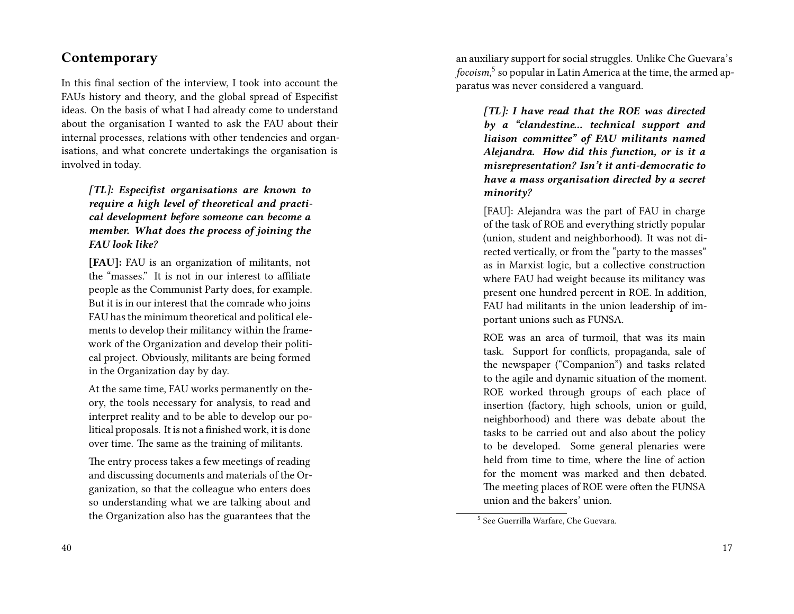## **Contemporary**

In this final section of the interview, I took into account the FAUs history and theory, and the global spread of Especifist ideas. On the basis of what I had already come to understand about the organisation I wanted to ask the FAU about their internal processes, relations with other tendencies and organisations, and what concrete undertakings the organisation is involved in today.

*[TL]: Especifist organisations are known to require a high level of theoretical and practical development before someone can become a member. What does the process of joining the FAU look like?*

**[FAU]:** FAU is an organization of militants, not the "masses." It is not in our interest to affiliate people as the Communist Party does, for example. But it is in our interest that the comrade who joins FAU has the minimum theoretical and political elements to develop their militancy within the framework of the Organization and develop their political project. Obviously, militants are being formed in the Organization day by day.

At the same time, FAU works permanently on theory, the tools necessary for analysis, to read and interpret reality and to be able to develop our political proposals. It is not a finished work, it is done over time. The same as the training of militants.

The entry process takes a few meetings of reading and discussing documents and materials of the Organization, so that the colleague who enters does so understanding what we are talking about and the Organization also has the guarantees that the

an auxiliary support for social struggles. Unlike Che Guevara's *focoism*, 5 so popular in Latin America at the time, the armed apparatus was never considered a vanguard.

*[TL]: I have read that the ROE was directed by a "clandestine… technical support and liaison committee" of FAU militants named Alejandra. How did this function, or is it a misrepresentation? Isn't it anti-democratic to have a mass organisation directed by a secret minority?*

[FAU]: Alejandra was the part of FAU in charge of the task of ROE and everything strictly popular (union, student and neighborhood). It was not directed vertically, or from the "party to the masses" as in Marxist logic, but a collective construction where FAU had weight because its militancy was present one hundred percent in ROE. In addition, FAU had militants in the union leadership of important unions such as FUNSA.

ROE was an area of turmoil, that was its main task. Support for conflicts, propaganda, sale of the newspaper ("Companion") and tasks related to the agile and dynamic situation of the moment. ROE worked through groups of each place of insertion (factory, high schools, union or guild, neighborhood) and there was debate about the tasks to be carried out and also about the policy to be developed. Some general plenaries were held from time to time, where the line of action for the moment was marked and then debated. The meeting places of ROE were often the FUNSA union and the bakers' union.

<sup>5</sup> See Guerrilla Warfare, Che Guevara.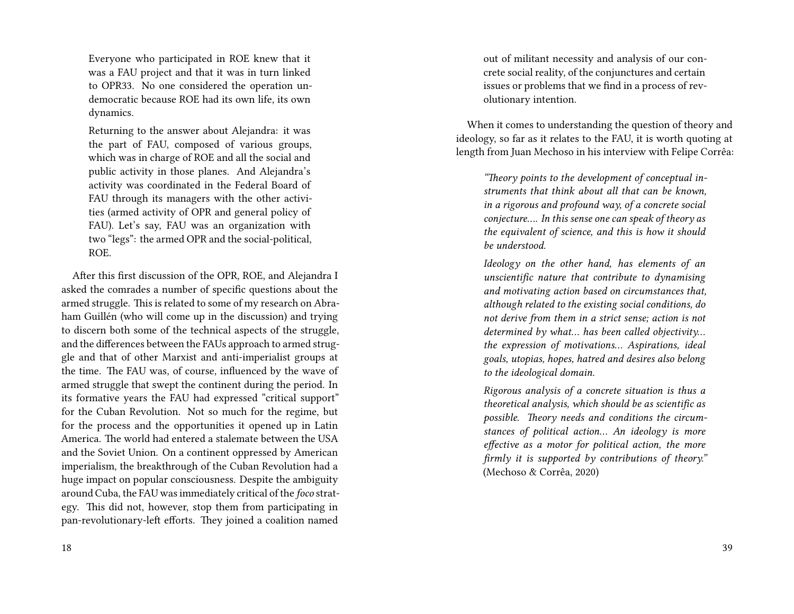Everyone who participated in ROE knew that it was a FAU project and that it was in turn linked to OPR33. No one considered the operation undemocratic because ROE had its own life, its own dynamics.

Returning to the answer about Alejandra: it was the part of FAU, composed of various groups, which was in charge of ROE and all the social and public activity in those planes. And Alejandra's activity was coordinated in the Federal Board of FAU through its managers with the other activities (armed activity of OPR and general policy of FAU). Let's say, FAU was an organization with two "legs": the armed OPR and the social-political, ROE.

After this first discussion of the OPR, ROE, and Alejandra I asked the comrades a number of specific questions about the armed struggle. This is related to some of my research on Abraham Guillén (who will come up in the discussion) and trying to discern both some of the technical aspects of the struggle, and the differences between the FAUs approach to armed struggle and that of other Marxist and anti-imperialist groups at the time. The FAU was, of course, influenced by the wave of armed struggle that swept the continent during the period. In its formative years the FAU had expressed "critical support" for the Cuban Revolution. Not so much for the regime, but for the process and the opportunities it opened up in Latin America. The world had entered a stalemate between the USA and the Soviet Union. On a continent oppressed by American imperialism, the breakthrough of the Cuban Revolution had a huge impact on popular consciousness. Despite the ambiguity around Cuba, the FAU was immediately critical of the *foco* strategy. This did not, however, stop them from participating in pan-revolutionary-left efforts. They joined a coalition named

out of militant necessity and analysis of our concrete social reality, of the conjunctures and certain issues or problems that we find in a process of revolutionary intention.

When it comes to understanding the question of theory and ideology, so far as it relates to the FAU, it is worth quoting at length from Juan Mechoso in his interview with Felipe Corrêa:

> *"Theory points to the development of conceptual instruments that think about all that can be known, in a rigorous and profound way, of a concrete social conjecture…. In this sense one can speak of theory as the equivalent of science, and this is how it should be understood.*

> *Ideology on the other hand, has elements of an unscientific nature that contribute to dynamising and motivating action based on circumstances that, although related to the existing social conditions, do not derive from them in a strict sense; action is not determined by what… has been called objectivity… the expression of motivations… Aspirations, ideal goals, utopias, hopes, hatred and desires also belong to the ideological domain.*

> *Rigorous analysis of a concrete situation is thus a theoretical analysis, which should be as scientific as possible. Theory needs and conditions the circumstances of political action… An ideology is more effective as a motor for political action, the more firmly it is supported by contributions of theory."* (Mechoso & Corrêa, 2020)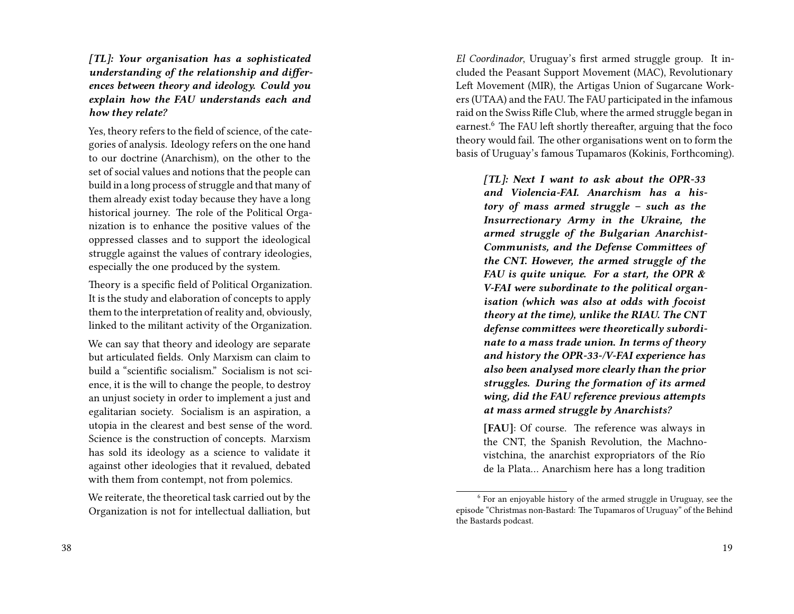*[TL]: Your organisation has a sophisticated understanding of the relationship and differences between theory and ideology. Could you explain how the FAU understands each and how they relate?*

Yes, theory refers to the field of science, of the categories of analysis. Ideology refers on the one hand to our doctrine (Anarchism), on the other to the set of social values and notions that the people can build in a long process of struggle and that many of them already exist today because they have a long historical journey. The role of the Political Organization is to enhance the positive values of the oppressed classes and to support the ideological struggle against the values of contrary ideologies, especially the one produced by the system.

Theory is a specific field of Political Organization. It is the study and elaboration of concepts to apply them to the interpretation of reality and, obviously, linked to the militant activity of the Organization.

We can say that theory and ideology are separate but articulated fields. Only Marxism can claim to build a "scientific socialism." Socialism is not science, it is the will to change the people, to destroy an unjust society in order to implement a just and egalitarian society. Socialism is an aspiration, a utopia in the clearest and best sense of the word. Science is the construction of concepts. Marxism has sold its ideology as a science to validate it against other ideologies that it revalued, debated with them from contempt, not from polemics.

We reiterate, the theoretical task carried out by the Organization is not for intellectual dalliation, but

38

*El Coordinador*, Uruguay's first armed struggle group. It included the Peasant Support Movement (MAC), Revolutionary Left Movement (MIR), the Artigas Union of Sugarcane Workers (UTAA) and the FAU. The FAU participated in the infamous raid on the Swiss Rifle Club, where the armed struggle began in earnest.<sup>6</sup> The FAU left shortly thereafter, arguing that the foco theory would fail. The other organisations went on to form the basis of Uruguay's famous Tupamaros (Kokinis, Forthcoming).

*[TL]: Next I want to ask about the OPR-33 and Violencia-FAI. Anarchism has a history of mass armed struggle – such as the Insurrectionary Army in the Ukraine, the armed struggle of the Bulgarian Anarchist-Communists, and the Defense Committees of the CNT. However, the armed struggle of the FAU is quite unique. For a start, the OPR & V-FAI were subordinate to the political organisation (which was also at odds with focoist theory at the time), unlike the RIAU. The CNT defense committees were theoretically subordinate to a mass trade union. In terms of theory and history the OPR-33-/V-FAI experience has also been analysed more clearly than the prior struggles. During the formation of its armed wing, did the FAU reference previous attempts at mass armed struggle by Anarchists?*

**[FAU]**: Of course. The reference was always in the CNT, the Spanish Revolution, the Machnovistchina, the anarchist expropriators of the Río de la Plata… Anarchism here has a long tradition

<sup>&</sup>lt;sup>6</sup> For an enjoyable history of the armed struggle in Uruguay, see the episode "Christmas non-Bastard: The Tupamaros of Uruguay" of the Behind the Bastards podcast.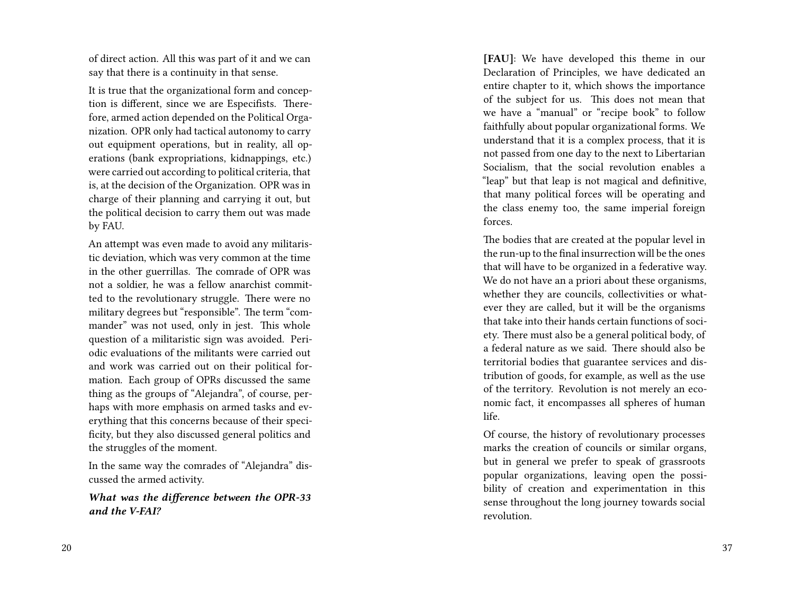of direct action. All this was part of it and we can say that there is a continuity in that sense.

It is true that the organizational form and conception is different, since we are Especifists. Therefore, armed action depended on the Political Organization. OPR only had tactical autonomy to carry out equipment operations, but in reality, all operations (bank expropriations, kidnappings, etc.) were carried out according to political criteria, that is, at the decision of the Organization. OPR was in charge of their planning and carrying it out, but the political decision to carry them out was made by FAU.

An attempt was even made to avoid any militaristic deviation, which was very common at the time in the other guerrillas. The comrade of OPR was not a soldier, he was a fellow anarchist committed to the revolutionary struggle. There were no military degrees but "responsible". The term "commander" was not used, only in jest. This whole question of a militaristic sign was avoided. Periodic evaluations of the militants were carried out and work was carried out on their political formation. Each group of OPRs discussed the same thing as the groups of "Alejandra", of course, perhaps with more emphasis on armed tasks and everything that this concerns because of their specificity, but they also discussed general politics and the struggles of the moment.

In the same way the comrades of "Alejandra" discussed the armed activity.

*What was the difference between the OPR-33 and the V-FAI?*

**[FAU]**: We have developed this theme in our Declaration of Principles, we have dedicated an entire chapter to it, which shows the importance of the subject for us. This does not mean that we have a "manual" or "recipe book" to follow faithfully about popular organizational forms. We understand that it is a complex process, that it is not passed from one day to the next to Libertarian Socialism, that the social revolution enables a "leap" but that leap is not magical and definitive, that many political forces will be operating and the class enemy too, the same imperial foreign forces.

The bodies that are created at the popular level in the run-up to the final insurrection will be the ones that will have to be organized in a federative way. We do not have an a priori about these organisms, whether they are councils, collectivities or whatever they are called, but it will be the organisms that take into their hands certain functions of society. There must also be a general political body, of a federal nature as we said. There should also be territorial bodies that guarantee services and distribution of goods, for example, as well as the use of the territory. Revolution is not merely an economic fact, it encompasses all spheres of human life.

Of course, the history of revolutionary processes marks the creation of councils or similar organs, but in general we prefer to speak of grassroots popular organizations, leaving open the possibility of creation and experimentation in this sense throughout the long journey towards social revolution.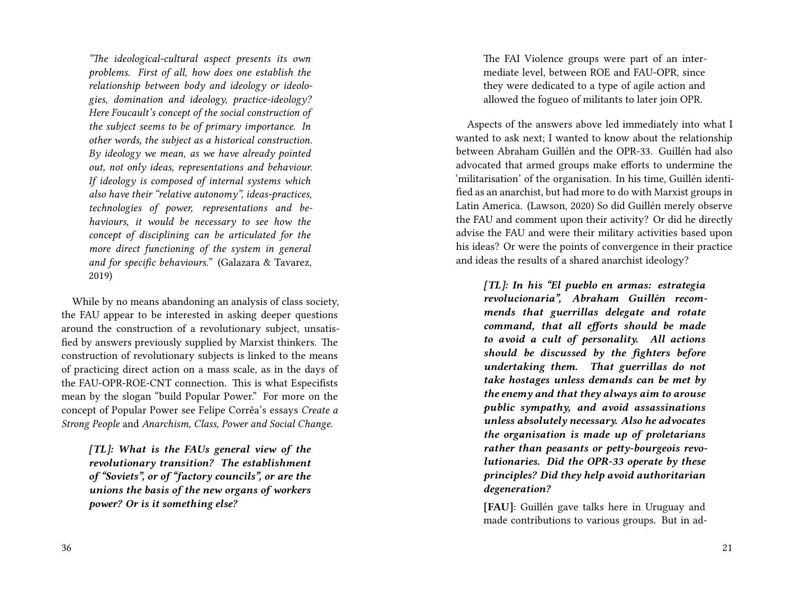*"The ideological-cultural aspect presents its own problems. First of all, how does one establish the relationship between body and ideology or ideologies, domination and ideology, practice-ideology? Here Foucault's concept of the social construction of the subject seems to be of primary importance. In other words, the subject as a historical construction. By ideology we mean, as we have already pointed out, not only ideas, representations and behaviour. If ideology is composed of internal systems which also have their "relative autonomy", ideas-practices, technologies of power, representations and behaviours, it would be necessary to see how the concept of disciplining can be articulated for the more direct functioning of the system in general and for specific behaviours."* (Galazara & Tavarez, 2019)

While by no means abandoning an analysis of class society, the FAU appear to be interested in asking deeper questions around the construction of a revolutionary subject, unsatisfied by answers previously supplied by Marxist thinkers. The construction of revolutionary subjects is linked to the means of practicing direct action on a mass scale, as in the days of the FAU-OPR-ROE-CNT connection. This is what Especifists mean by the slogan "build Popular Power." For more on the concept of Popular Power see Felipe Corrêa's essays *Create a Strong People* and *Anarchism, Class, Power and Social Change*.

*[TL]: What is the FAUs general view of the revolutionary transition? The establishment of "Soviets", or of "factory councils", or are the unions the basis of the new organs of workers power? Or is it something else?*

36

The FAI Violence groups were part of an intermediate level, between ROE and FAU-OPR, since they were dedicated to a type of agile action and allowed the fogueo of militants to later join OPR.

Aspects of the answers above led immediately into what I wanted to ask next; I wanted to know about the relationship between Abraham Guillén and the OPR-33. Guillén had also advocated that armed groups make efforts to undermine the 'militarisation' of the organisation. In his time, Guillén identified as an anarchist, but had more to do with Marxist groups in Latin America. (Lawson, 2020) So did Guillén merely observe the FAU and comment upon their activity? Or did he directly advise the FAU and were their military activities based upon his ideas? Or were the points of convergence in their practice and ideas the results of a shared anarchist ideology?

*[TL]: In his "El pueblo en armas: estrategia revolucionaria", Abraham Guillén recommends that guerrillas delegate and rotate command, that all efforts should be made to avoid a cult of personality. All actions should be discussed by the fighters before undertaking them. That guerrillas do not take hostages unless demands can be met by the enemy and that they always aim to arouse public sympathy, and avoid assassinations unless absolutely necessary. Also he advocates the organisation is made up of proletarians rather than peasants or petty-bourgeois revolutionaries. Did the OPR-33 operate by these principles? Did they help avoid authoritarian degeneration?*

**[FAU]**: Guillén gave talks here in Uruguay and made contributions to various groups. But in ad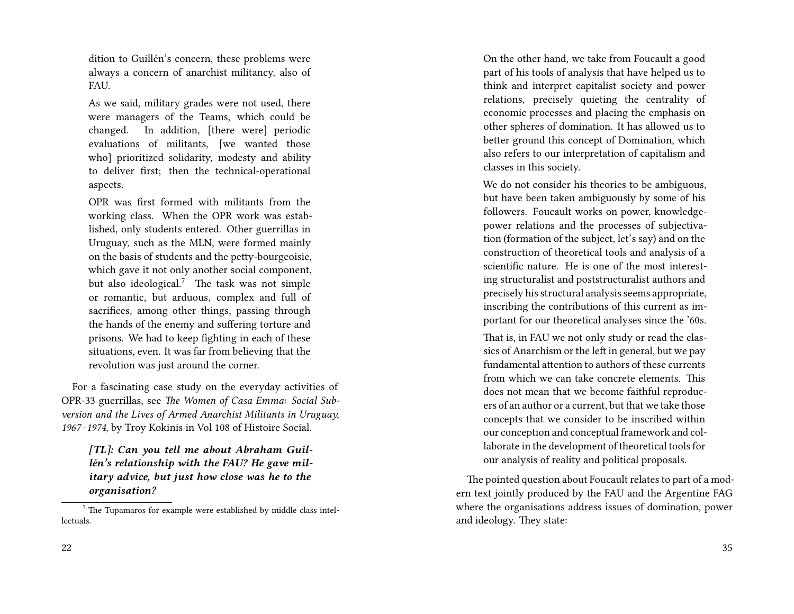dition to Guillén's concern, these problems were always a concern of anarchist militancy, also of FAU.

As we said, military grades were not used, there were managers of the Teams, which could be changed. In addition, [there were] periodic evaluations of militants, [we wanted those who] prioritized solidarity, modesty and ability to deliver first; then the technical-operational aspects.

OPR was first formed with militants from the working class. When the OPR work was established, only students entered. Other guerrillas in Uruguay, such as the MLN, were formed mainly on the basis of students and the petty-bourgeoisie, which gave it not only another social component, but also ideological.<sup>7</sup> The task was not simple or romantic, but arduous, complex and full of sacrifices, among other things, passing through the hands of the enemy and suffering torture and prisons. We had to keep fighting in each of these situations, even. It was far from believing that the revolution was just around the corner.

For a fascinating case study on the everyday activities of OPR-33 guerrillas, see *The Women of Casa Emma: Social Subversion and the Lives of Armed Anarchist Militants in Uruguay, 1967–1974*, by Troy Kokinis in Vol 108 of Histoire Social.

*[TL]: Can you tell me about Abraham Guillén's relationship with the FAU? He gave military advice, but just how close was he to the organisation?*

22

On the other hand, we take from Foucault a good part of his tools of analysis that have helped us to think and interpret capitalist society and power relations, precisely quieting the centrality of economic processes and placing the emphasis on other spheres of domination. It has allowed us to better ground this concept of Domination, which also refers to our interpretation of capitalism and classes in this society.

We do not consider his theories to be ambiguous, but have been taken ambiguously by some of his followers. Foucault works on power, knowledgepower relations and the processes of subjectivation (formation of the subject, let's say) and on the construction of theoretical tools and analysis of a scientific nature. He is one of the most interesting structuralist and poststructuralist authors and precisely his structural analysis seems appropriate, inscribing the contributions of this current as important for our theoretical analyses since the '60s.

That is, in FAU we not only study or read the classics of Anarchism or the left in general, but we pay fundamental attention to authors of these currents from which we can take concrete elements. This does not mean that we become faithful reproducers of an author or a current, but that we take those concepts that we consider to be inscribed within our conception and conceptual framework and collaborate in the development of theoretical tools for our analysis of reality and political proposals.

The pointed question about Foucault relates to part of a modern text jointly produced by the FAU and the Argentine FAG where the organisations address issues of domination, power and ideology. They state:

 $7$  The Tupamaros for example were established by middle class intellectuals.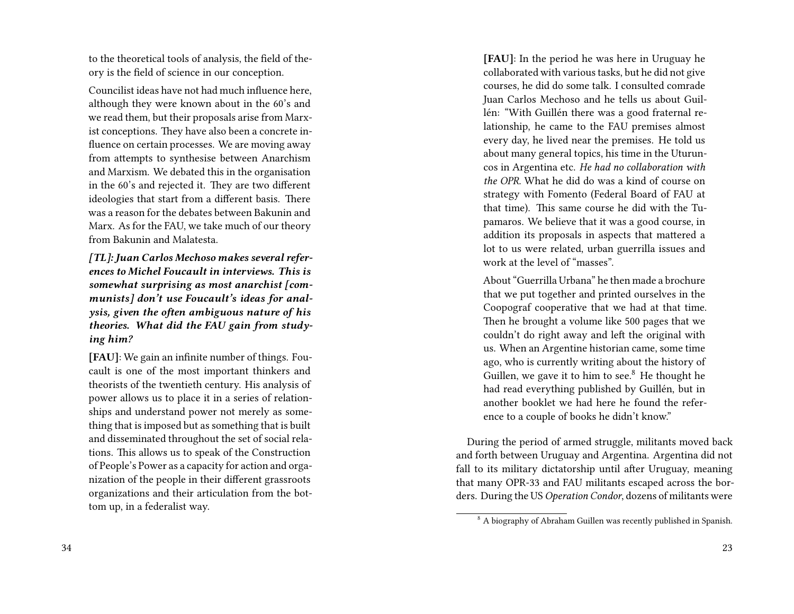to the theoretical tools of analysis, the field of theory is the field of science in our conception.

Councilist ideas have not had much influence here, although they were known about in the 60's and we read them, but their proposals arise from Marxist conceptions. They have also been a concrete influence on certain processes. We are moving away from attempts to synthesise between Anarchism and Marxism. We debated this in the organisation in the 60's and rejected it. They are two different ideologies that start from a different basis. There was a reason for the debates between Bakunin and Marx. As for the FAU, we take much of our theory from Bakunin and Malatesta.

*[TL]: Juan Carlos Mechoso makes several references to Michel Foucault in interviews. This is somewhat surprising as most anarchist [communists] don't use Foucault's ideas for analysis, given the often ambiguous nature of his theories. What did the FAU gain from studying him?*

**[FAU]**: We gain an infinite number of things. Foucault is one of the most important thinkers and theorists of the twentieth century. His analysis of power allows us to place it in a series of relationships and understand power not merely as something that is imposed but as something that is built and disseminated throughout the set of social relations. This allows us to speak of the Construction of People's Power as a capacity for action and organization of the people in their different grassroots organizations and their articulation from the bottom up, in a federalist way.

**[FAU]**: In the period he was here in Uruguay he collaborated with various tasks, but he did not give courses, he did do some talk. I consulted comrade Juan Carlos Mechoso and he tells us about Guillén: "With Guillén there was a good fraternal relationship, he came to the FAU premises almost every day, he lived near the premises. He told us about many general topics, his time in the Uturuncos in Argentina etc. *He had no collaboration with the OPR.* What he did do was a kind of course on strategy with Fomento (Federal Board of FAU at that time). This same course he did with the Tupamaros. We believe that it was a good course, in addition its proposals in aspects that mattered a lot to us were related, urban guerrilla issues and work at the level of "masses".

About "Guerrilla Urbana" he then made a brochure that we put together and printed ourselves in the Coopograf cooperative that we had at that time. Then he brought a volume like 500 pages that we couldn't do right away and left the original with us. When an Argentine historian came, some time ago, who is currently writing about the history of Guillen, we gave it to him to see. $8$  He thought he had read everything published by Guillén, but in another booklet we had here he found the reference to a couple of books he didn't know."

During the period of armed struggle, militants moved back and forth between Uruguay and Argentina. Argentina did not fall to its military dictatorship until after Uruguay, meaning that many OPR-33 and FAU militants escaped across the borders. During the US *Operation Condor*, dozens of militants were

<sup>8</sup> A biography of Abraham Guillen was recently published in Spanish.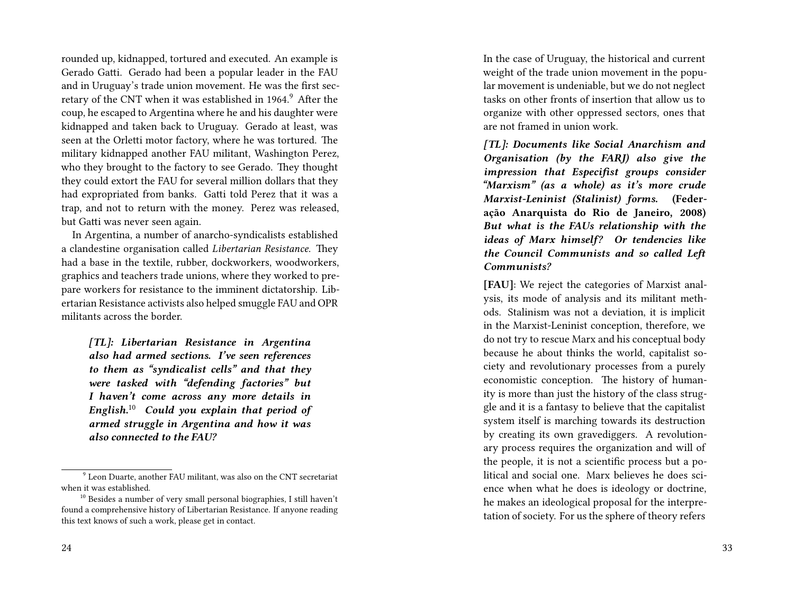rounded up, kidnapped, tortured and executed. An example is Gerado Gatti. Gerado had been a popular leader in the FAU and in Uruguay's trade union movement. He was the first secretary of the CNT when it was established in 1964.<sup>9</sup> After the coup, he escaped to Argentina where he and his daughter were kidnapped and taken back to Uruguay. Gerado at least, was seen at the Orletti motor factory, where he was tortured. The military kidnapped another FAU militant, Washington Perez, who they brought to the factory to see Gerado. They thought they could extort the FAU for several million dollars that they had expropriated from banks. Gatti told Perez that it was a trap, and not to return with the money. Perez was released, but Gatti was never seen again.

In Argentina, a number of anarcho-syndicalists established a clandestine organisation called *Libertarian Resistance*. They had a base in the textile, rubber, dockworkers, woodworkers, graphics and teachers trade unions, where they worked to prepare workers for resistance to the imminent dictatorship. Libertarian Resistance activists also helped smuggle FAU and OPR militants across the border.

*[TL]: Libertarian Resistance in Argentina also had armed sections. I've seen references to them as "syndicalist cells" and that they were tasked with "defending factories" but I haven't come across any more details in English.*<sup>10</sup> *Could you explain that period of armed struggle in Argentina and how it was also connected to the FAU?*

In the case of Uruguay, the historical and current weight of the trade union movement in the popular movement is undeniable, but we do not neglect tasks on other fronts of insertion that allow us to organize with other oppressed sectors, ones that are not framed in union work.

*[TL]: Documents like Social Anarchism and Organisation (by the FARJ) also give the impression that Especifist groups consider "Marxism" (as a whole) as it's more crude Marxist-Leninist (Stalinist) forms.* **(Federação Anarquista do Rio de Janeiro, 2008)** *But what is the FAUs relationship with the ideas of Marx himself? Or tendencies like the Council Communists and so called Left Communists?*

**[FAU]**: We reject the categories of Marxist analysis, its mode of analysis and its militant methods. Stalinism was not a deviation, it is implicit in the Marxist-Leninist conception, therefore, we do not try to rescue Marx and his conceptual body because he about thinks the world, capitalist society and revolutionary processes from a purely economistic conception. The history of humanity is more than just the history of the class struggle and it is a fantasy to believe that the capitalist system itself is marching towards its destruction by creating its own gravediggers. A revolutionary process requires the organization and will of the people, it is not a scientific process but a political and social one. Marx believes he does science when what he does is ideology or doctrine, he makes an ideological proposal for the interpretation of society. For us the sphere of theory refers

<sup>9</sup> Leon Duarte, another FAU militant, was also on the CNT secretariat when it was established.

<sup>&</sup>lt;sup>10</sup> Besides a number of very small personal biographies, I still haven't found a comprehensive history of Libertarian Resistance. If anyone reading this text knows of such a work, please get in contact.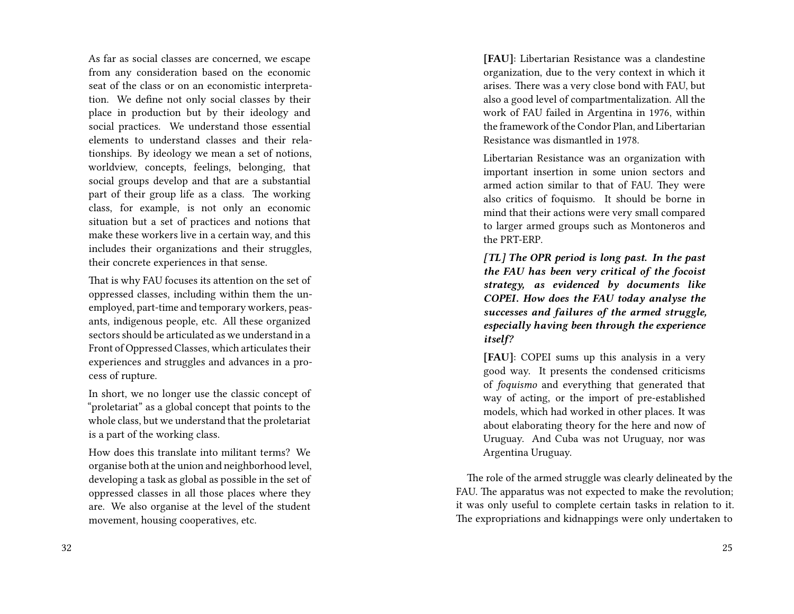As far as social classes are concerned, we escape from any consideration based on the economic seat of the class or on an economistic interpretation. We define not only social classes by their place in production but by their ideology and social practices. We understand those essential elements to understand classes and their relationships. By ideology we mean a set of notions, worldview, concepts, feelings, belonging, that social groups develop and that are a substantial part of their group life as a class. The working class, for example, is not only an economic situation but a set of practices and notions that make these workers live in a certain way, and this includes their organizations and their struggles, their concrete experiences in that sense.

That is why FAU focuses its attention on the set of oppressed classes, including within them the unemployed, part-time and temporary workers, peasants, indigenous people, etc. All these organized sectors should be articulated as we understand in a Front of Oppressed Classes, which articulates their experiences and struggles and advances in a process of rupture.

In short, we no longer use the classic concept of "proletariat" as a global concept that points to the whole class, but we understand that the proletariat is a part of the working class.

How does this translate into militant terms? We organise both at the union and neighborhood level, developing a task as global as possible in the set of oppressed classes in all those places where they are. We also organise at the level of the student movement, housing cooperatives, etc.

**[FAU]**: Libertarian Resistance was a clandestine organization, due to the very context in which it arises. There was a very close bond with FAU, but also a good level of compartmentalization. All the work of FAU failed in Argentina in 1976, within the framework of the Condor Plan, and Libertarian Resistance was dismantled in 1978.

Libertarian Resistance was an organization with important insertion in some union sectors and armed action similar to that of FAU. They were also critics of foquismo. It should be borne in mind that their actions were very small compared to larger armed groups such as Montoneros and the PRT-ERP.

*[TL] The OPR period is long past. In the past the FAU has been very critical of the focoist strategy, as evidenced by documents like COPEI. How does the FAU today analyse the successes and failures of the armed struggle, especially having been through the experience itself?*

**[FAU]**: COPEI sums up this analysis in a very good way. It presents the condensed criticisms of *foquismo* and everything that generated that way of acting, or the import of pre-established models, which had worked in other places. It was about elaborating theory for the here and now of Uruguay. And Cuba was not Uruguay, nor was Argentina Uruguay.

The role of the armed struggle was clearly delineated by the FAU. The apparatus was not expected to make the revolution; it was only useful to complete certain tasks in relation to it. The expropriations and kidnappings were only undertaken to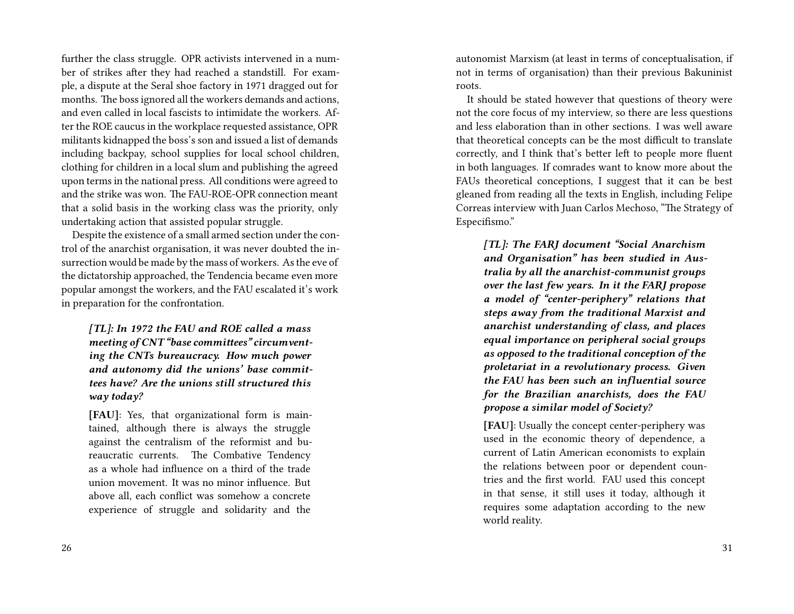further the class struggle. OPR activists intervened in a number of strikes after they had reached a standstill. For example, a dispute at the Seral shoe factory in 1971 dragged out for months. The boss ignored all the workers demands and actions, and even called in local fascists to intimidate the workers. After the ROE caucus in the workplace requested assistance, OPR militants kidnapped the boss's son and issued a list of demands including backpay, school supplies for local school children, clothing for children in a local slum and publishing the agreed upon terms in the national press. All conditions were agreed to and the strike was won. The FAU-ROE-OPR connection meant that a solid basis in the working class was the priority, only undertaking action that assisted popular struggle.

Despite the existence of a small armed section under the control of the anarchist organisation, it was never doubted the insurrection would be made by the mass of workers. As the eve of the dictatorship approached, the Tendencia became even more popular amongst the workers, and the FAU escalated it's work in preparation for the confrontation.

*[TL]: In 1972 the FAU and ROE called a mass meeting of CNT "base committees" circumventing the CNTs bureaucracy. How much power and autonomy did the unions' base committees have? Are the unions still structured this way today?*

**[FAU]**: Yes, that organizational form is maintained, although there is always the struggle against the centralism of the reformist and bureaucratic currents. The Combative Tendency as a whole had influence on a third of the trade union movement. It was no minor influence. But above all, each conflict was somehow a concrete experience of struggle and solidarity and the autonomist Marxism (at least in terms of conceptualisation, if not in terms of organisation) than their previous Bakuninist roots.

It should be stated however that questions of theory were not the core focus of my interview, so there are less questions and less elaboration than in other sections. I was well aware that theoretical concepts can be the most difficult to translate correctly, and I think that's better left to people more fluent in both languages. If comrades want to know more about the FAUs theoretical conceptions, I suggest that it can be best gleaned from reading all the texts in English, including Felipe Correas interview with Juan Carlos Mechoso, "The Strategy of Especifismo."

*[TL]: The FARJ document "Social Anarchism and Organisation" has been studied in Australia by all the anarchist-communist groups over the last few years. In it the FARJ propose a model of "center-periphery" relations that steps away from the traditional Marxist and anarchist understanding of class, and places equal importance on peripheral social groups as opposed to the traditional conception of the proletariat in a revolutionary process. Given the FAU has been such an influential source for the Brazilian anarchists, does the FAU propose a similar model of Society?*

**[FAU]**: Usually the concept center-periphery was used in the economic theory of dependence, a current of Latin American economists to explain the relations between poor or dependent countries and the first world. FAU used this concept in that sense, it still uses it today, although it requires some adaptation according to the new world reality.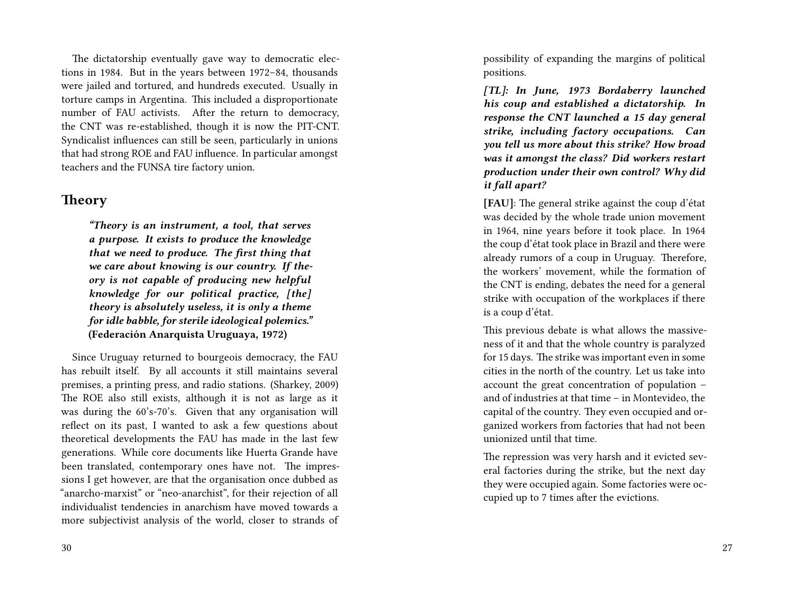The dictatorship eventually gave way to democratic elections in 1984. But in the years between 1972–84, thousands were jailed and tortured, and hundreds executed. Usually in torture camps in Argentina. This included a disproportionate number of FAU activists. After the return to democracy, the CNT was re-established, though it is now the PIT-CNT. Syndicalist influences can still be seen, particularly in unions that had strong ROE and FAU influence. In particular amongst teachers and the FUNSA tire factory union.

### **Theory**

*"Theory is an instrument, a tool, that serves a purpose. It exists to produce the knowledge that we need to produce. The first thing that we care about knowing is our country. If theory is not capable of producing new helpful knowledge for our political practice, [the] theory is absolutely useless, it is only a theme for idle babble, for sterile ideological polemics."* **(Federación Anarquista Uruguaya, 1972)**

Since Uruguay returned to bourgeois democracy, the FAU has rebuilt itself. By all accounts it still maintains several premises, a printing press, and radio stations. (Sharkey, 2009) The ROE also still exists, although it is not as large as it was during the 60's-70's. Given that any organisation will reflect on its past, I wanted to ask a few questions about theoretical developments the FAU has made in the last few generations. While core documents like Huerta Grande have been translated, contemporary ones have not. The impressions I get however, are that the organisation once dubbed as "anarcho-marxist" or "neo-anarchist", for their rejection of all individualist tendencies in anarchism have moved towards a more subjectivist analysis of the world, closer to strands of

possibility of expanding the margins of political positions.

*[TL]: In June, 1973 Bordaberry launched his coup and established a dictatorship. In response the CNT launched a 15 day general strike, including factory occupations. Can you tell us more about this strike? How broad was it amongst the class? Did workers restart production under their own control? Why did it fall apart?*

**[FAU]**: The general strike against the coup d'état was decided by the whole trade union movement in 1964, nine years before it took place. In 1964 the coup d'état took place in Brazil and there were already rumors of a coup in Uruguay. Therefore, the workers' movement, while the formation of the CNT is ending, debates the need for a general strike with occupation of the workplaces if there is a coup d'état.

This previous debate is what allows the massiveness of it and that the whole country is paralyzed for 15 days. The strike was important even in some cities in the north of the country. Let us take into account the great concentration of population – and of industries at that time – in Montevideo, the capital of the country. They even occupied and organized workers from factories that had not been unionized until that time.

The repression was very harsh and it evicted several factories during the strike, but the next day they were occupied again. Some factories were occupied up to 7 times after the evictions.